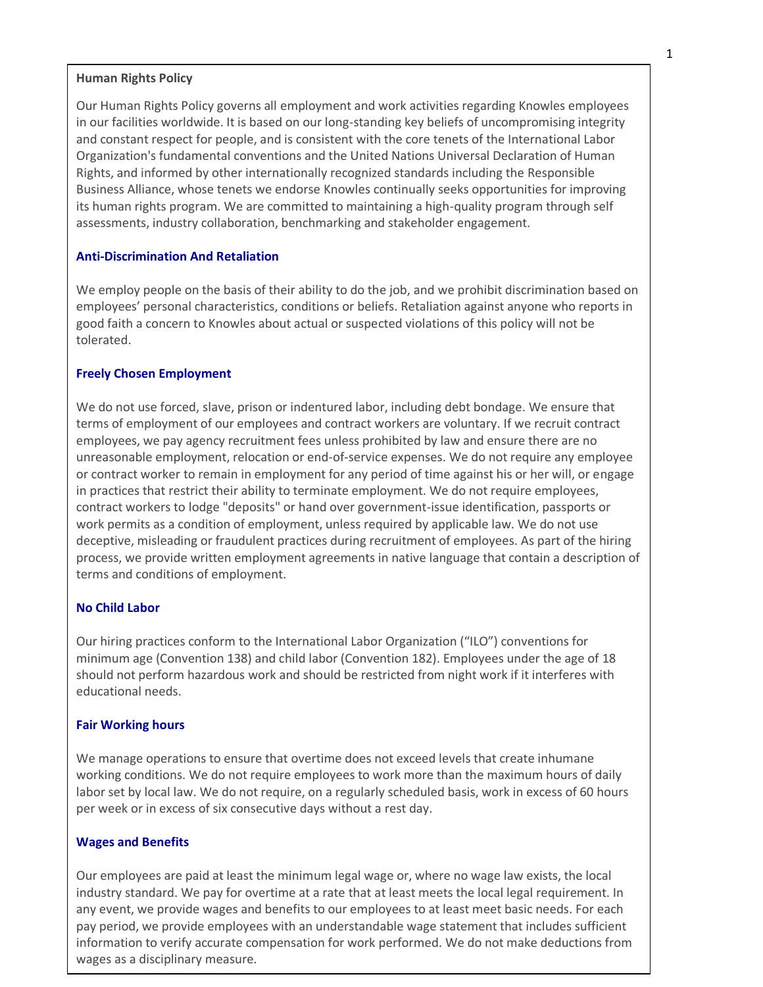### **Human Rights Policy**

Our Human Rights Policy governs all employment and work activities regarding Knowles employees in our facilities worldwide. It is based on our long-standing key beliefs of uncompromising integrity and constant respect for people, and is consistent with the core tenets of the International Labor Organization's fundamental conventions and the United Nations Universal Declaration of Human Rights, and informed by other internationally recognized standards including the Responsible Business Alliance, whose tenets we endorse Knowles continually seeks opportunities for improving its human rights program. We are committed to maintaining a high-quality program through self assessments, industry collaboration, benchmarking and stakeholder engagement.

## **Anti-Discrimination And Retaliation**

We employ people on the basis of their ability to do the job, and we prohibit discrimination based on employees' personal characteristics, conditions or beliefs. Retaliation against anyone who reports in good faith a concern to Knowles about actual or suspected violations of this policy will not be tolerated.

## **Freely Chosen Employment**

We do not use forced, slave, prison or indentured labor, including debt bondage. We ensure that terms of employment of our employees and contract workers are voluntary. If we recruit contract employees, we pay agency recruitment fees unless prohibited by law and ensure there are no unreasonable employment, relocation or end-of-service expenses. We do not require any employee or contract worker to remain in employment for any period of time against his or her will, or engage in practices that restrict their ability to terminate employment. We do not require employees, contract workers to lodge "deposits" or hand over government-issue identification, passports or work permits as a condition of employment, unless required by applicable law. We do not use deceptive, misleading or fraudulent practices during recruitment of employees. As part of the hiring process, we provide written employment agreements in native language that contain a description of terms and conditions of employment.

## **No Child Labor**

Our hiring practices conform to the International Labor Organization ("ILO") conventions for minimum age (Convention 138) and child labor (Convention 182). Employees under the age of 18 should not perform hazardous work and should be restricted from night work if it interferes with educational needs.

#### **Fair Working hours**

We manage operations to ensure that overtime does not exceed levels that create inhumane working conditions. We do not require employees to work more than the maximum hours of daily labor set by local law. We do not require, on a regularly scheduled basis, work in excess of 60 hours per week or in excess of six consecutive days without a rest day.

## **Wages and Benefits**

Our employees are paid at least the minimum legal wage or, where no wage law exists, the local industry standard. We pay for overtime at a rate that at least meets the local legal requirement. In any event, we provide wages and benefits to our employees to at least meet basic needs. For each pay period, we provide employees with an understandable wage statement that includes sufficient information to verify accurate compensation for work performed. We do not make deductions from wages as a disciplinary measure.